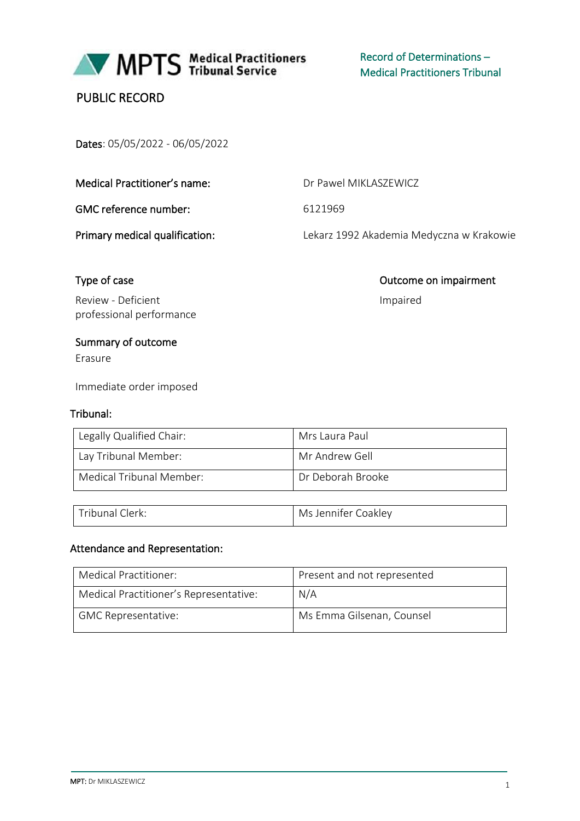

MPTS Medical Practitioners

Record of Determinations – Medical Practitioners Tribunal

# PUBLIC RECORD

Dates: 05/05/2022 - 06/05/2022

| Medical Practitioner's name: |
|------------------------------|
|                              |

GMC reference number: 6121969

Dr Pawel MIKLASZEWICZ

Primary medical qualification: Lekarz 1992 Akademia Medyczna w Krakowie

Impaired

Type of case **Outcome on impairment** 

Review - Deficient professional performance

# Summary of outcome

Erasure

Immediate order imposed

## Tribunal:

| Legally Qualified Chair: | Mrs Laura Paul    |
|--------------------------|-------------------|
| Lay Tribunal Member:     | Mr Andrew Gell    |
| Medical Tribunal Member: | Dr Deborah Brooke |

| Tribunal C | Jennifer Coakley |
|------------|------------------|
| lerk:      | Ms.              |

#### Attendance and Representation:

| Medical Practitioner:                  | Present and not represented |
|----------------------------------------|-----------------------------|
| Medical Practitioner's Representative: | N/A                         |
| <b>GMC Representative:</b>             | Ms Emma Gilsenan, Counsel   |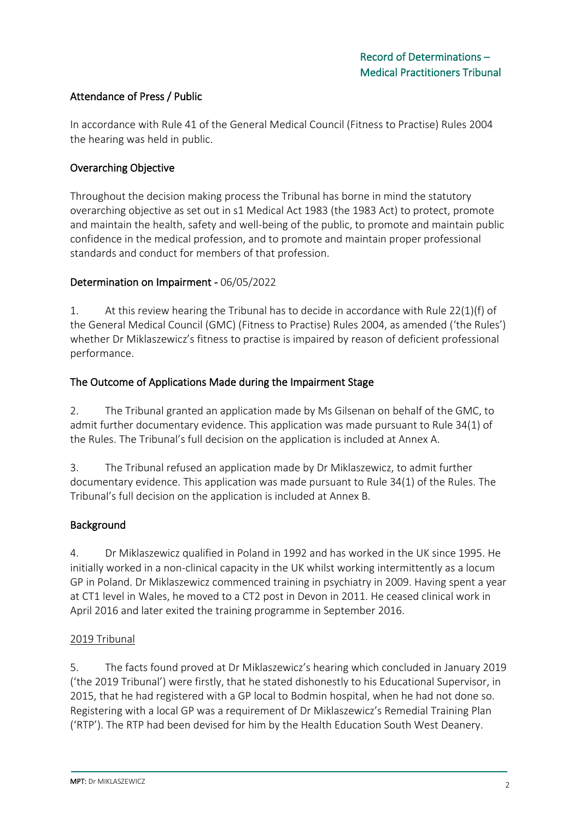## Attendance of Press / Public

In accordance with Rule 41 of the General Medical Council (Fitness to Practise) Rules 2004 the hearing was held in public.

#### Overarching Objective

Throughout the decision making process the Tribunal has borne in mind the statutory overarching objective as set out in s1 Medical Act 1983 (the 1983 Act) to protect, promote and maintain the health, safety and well-being of the public, to promote and maintain public confidence in the medical profession, and to promote and maintain proper professional standards and conduct for members of that profession.

#### Determination on Impairment - 06/05/2022

1. At this review hearing the Tribunal has to decide in accordance with Rule 22(1)(f) of the General Medical Council (GMC) (Fitness to Practise) Rules 2004, as amended ('the Rules') whether Dr Miklaszewicz's fitness to practise is impaired by reason of deficient professional performance.

#### The Outcome of Applications Made during the Impairment Stage

2. The Tribunal granted an application made by Ms Gilsenan on behalf of the GMC, to admit further documentary evidence. This application was made pursuant to Rule 34(1) of the Rules. The Tribunal's full decision on the application is included at Annex A.

3. The Tribunal refused an application made by Dr Miklaszewicz, to admit further documentary evidence. This application was made pursuant to Rule 34(1) of the Rules. The Tribunal's full decision on the application is included at Annex B.

#### Background

4. Dr Miklaszewicz qualified in Poland in 1992 and has worked in the UK since 1995. He initially worked in a non-clinical capacity in the UK whilst working intermittently as a locum GP in Poland. Dr Miklaszewicz commenced training in psychiatry in 2009. Having spent a year at CT1 level in Wales, he moved to a CT2 post in Devon in 2011. He ceased clinical work in April 2016 and later exited the training programme in September 2016.

#### 2019 Tribunal

5. The facts found proved at Dr Miklaszewicz's hearing which concluded in January 2019 ('the 2019 Tribunal') were firstly, that he stated dishonestly to his Educational Supervisor, in 2015, that he had registered with a GP local to Bodmin hospital, when he had not done so. Registering with a local GP was a requirement of Dr Miklaszewicz's Remedial Training Plan ('RTP'). The RTP had been devised for him by the Health Education South West Deanery.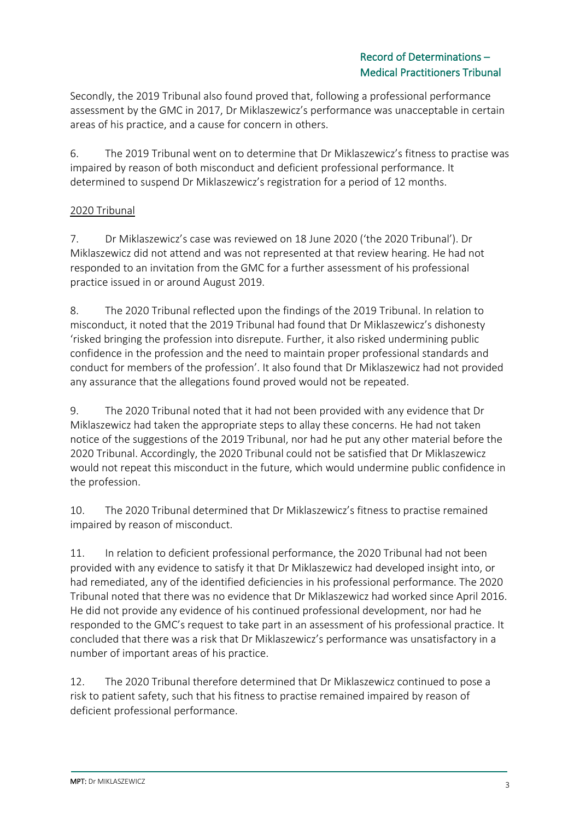Secondly, the 2019 Tribunal also found proved that, following a professional performance assessment by the GMC in 2017, Dr Miklaszewicz's performance was unacceptable in certain areas of his practice, and a cause for concern in others.

6. The 2019 Tribunal went on to determine that Dr Miklaszewicz's fitness to practise was impaired by reason of both misconduct and deficient professional performance. It determined to suspend Dr Miklaszewicz's registration for a period of 12 months.

# 2020 Tribunal

7. Dr Miklaszewicz's case was reviewed on 18 June 2020 ('the 2020 Tribunal'). Dr Miklaszewicz did not attend and was not represented at that review hearing. He had not responded to an invitation from the GMC for a further assessment of his professional practice issued in or around August 2019.

8. The 2020 Tribunal reflected upon the findings of the 2019 Tribunal. In relation to misconduct, it noted that the 2019 Tribunal had found that Dr Miklaszewicz's dishonesty 'risked bringing the profession into disrepute. Further, it also risked undermining public confidence in the profession and the need to maintain proper professional standards and conduct for members of the profession'. It also found that Dr Miklaszewicz had not provided any assurance that the allegations found proved would not be repeated.

9. The 2020 Tribunal noted that it had not been provided with any evidence that Dr Miklaszewicz had taken the appropriate steps to allay these concerns. He had not taken notice of the suggestions of the 2019 Tribunal, nor had he put any other material before the 2020 Tribunal. Accordingly, the 2020 Tribunal could not be satisfied that Dr Miklaszewicz would not repeat this misconduct in the future, which would undermine public confidence in the profession.

10. The 2020 Tribunal determined that Dr Miklaszewicz's fitness to practise remained impaired by reason of misconduct.

11. In relation to deficient professional performance, the 2020 Tribunal had not been provided with any evidence to satisfy it that Dr Miklaszewicz had developed insight into, or had remediated, any of the identified deficiencies in his professional performance. The 2020 Tribunal noted that there was no evidence that Dr Miklaszewicz had worked since April 2016. He did not provide any evidence of his continued professional development, nor had he responded to the GMC's request to take part in an assessment of his professional practice. It concluded that there was a risk that Dr Miklaszewicz's performance was unsatisfactory in a number of important areas of his practice.

12. The 2020 Tribunal therefore determined that Dr Miklaszewicz continued to pose a risk to patient safety, such that his fitness to practise remained impaired by reason of deficient professional performance.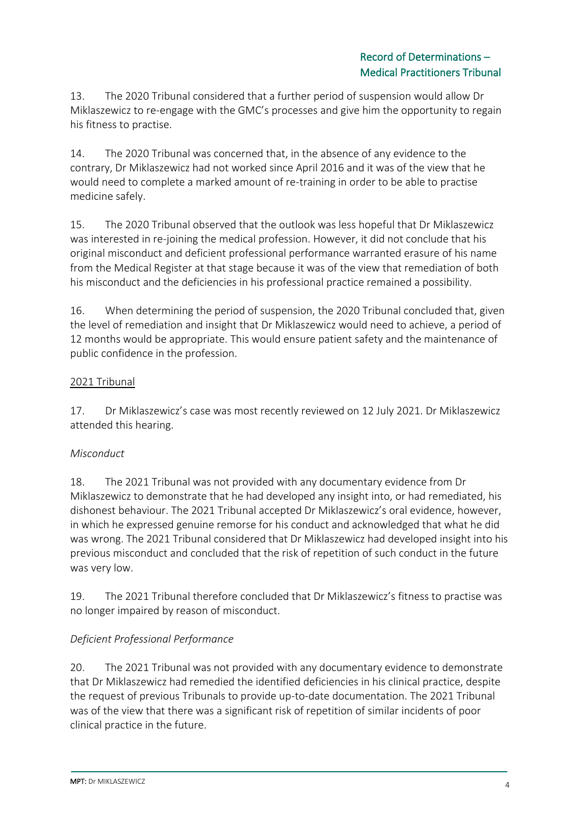13. The 2020 Tribunal considered that a further period of suspension would allow Dr Miklaszewicz to re-engage with the GMC's processes and give him the opportunity to regain his fitness to practise.

14. The 2020 Tribunal was concerned that, in the absence of any evidence to the contrary, Dr Miklaszewicz had not worked since April 2016 and it was of the view that he would need to complete a marked amount of re-training in order to be able to practise medicine safely.

15. The 2020 Tribunal observed that the outlook was less hopeful that Dr Miklaszewicz was interested in re-joining the medical profession. However, it did not conclude that his original misconduct and deficient professional performance warranted erasure of his name from the Medical Register at that stage because it was of the view that remediation of both his misconduct and the deficiencies in his professional practice remained a possibility.

16. When determining the period of suspension, the 2020 Tribunal concluded that, given the level of remediation and insight that Dr Miklaszewicz would need to achieve, a period of 12 months would be appropriate. This would ensure patient safety and the maintenance of public confidence in the profession.

## 2021 Tribunal

17. Dr Miklaszewicz's case was most recently reviewed on 12 July 2021. Dr Miklaszewicz attended this hearing.

# *Misconduct*

18. The 2021 Tribunal was not provided with any documentary evidence from Dr Miklaszewicz to demonstrate that he had developed any insight into, or had remediated, his dishonest behaviour. The 2021 Tribunal accepted Dr Miklaszewicz's oral evidence, however, in which he expressed genuine remorse for his conduct and acknowledged that what he did was wrong. The 2021 Tribunal considered that Dr Miklaszewicz had developed insight into his previous misconduct and concluded that the risk of repetition of such conduct in the future was very low.

19. The 2021 Tribunal therefore concluded that Dr Miklaszewicz's fitness to practise was no longer impaired by reason of misconduct.

# *Deficient Professional Performance*

20. The 2021 Tribunal was not provided with any documentary evidence to demonstrate that Dr Miklaszewicz had remedied the identified deficiencies in his clinical practice, despite the request of previous Tribunals to provide up-to-date documentation. The 2021 Tribunal was of the view that there was a significant risk of repetition of similar incidents of poor clinical practice in the future.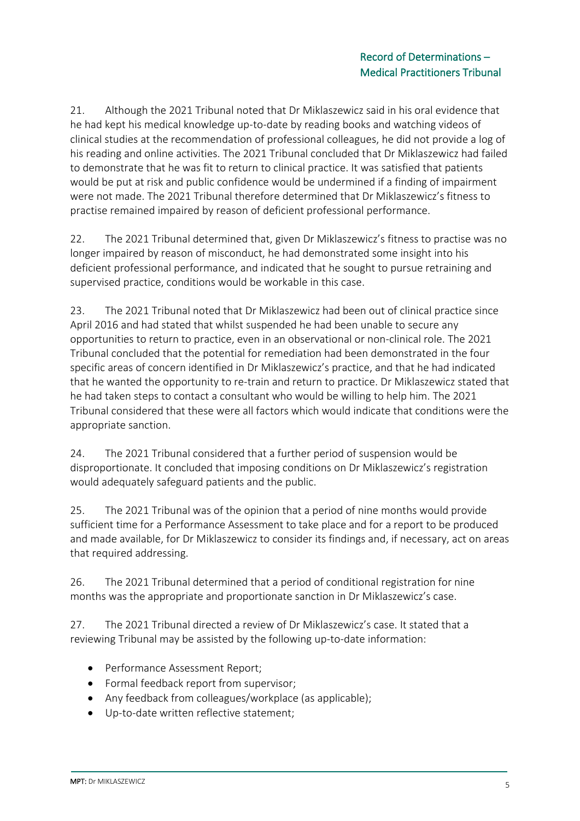21. Although the 2021 Tribunal noted that Dr Miklaszewicz said in his oral evidence that he had kept his medical knowledge up-to-date by reading books and watching videos of clinical studies at the recommendation of professional colleagues, he did not provide a log of his reading and online activities. The 2021 Tribunal concluded that Dr Miklaszewicz had failed to demonstrate that he was fit to return to clinical practice. It was satisfied that patients would be put at risk and public confidence would be undermined if a finding of impairment were not made. The 2021 Tribunal therefore determined that Dr Miklaszewicz's fitness to practise remained impaired by reason of deficient professional performance.

22. The 2021 Tribunal determined that, given Dr Miklaszewicz's fitness to practise was no longer impaired by reason of misconduct, he had demonstrated some insight into his deficient professional performance, and indicated that he sought to pursue retraining and supervised practice, conditions would be workable in this case.

23. The 2021 Tribunal noted that Dr Miklaszewicz had been out of clinical practice since April 2016 and had stated that whilst suspended he had been unable to secure any opportunities to return to practice, even in an observational or non-clinical role. The 2021 Tribunal concluded that the potential for remediation had been demonstrated in the four specific areas of concern identified in Dr Miklaszewicz's practice, and that he had indicated that he wanted the opportunity to re-train and return to practice. Dr Miklaszewicz stated that he had taken steps to contact a consultant who would be willing to help him. The 2021 Tribunal considered that these were all factors which would indicate that conditions were the appropriate sanction.

24. The 2021 Tribunal considered that a further period of suspension would be disproportionate. It concluded that imposing conditions on Dr Miklaszewicz's registration would adequately safeguard patients and the public.

25. The 2021 Tribunal was of the opinion that a period of nine months would provide sufficient time for a Performance Assessment to take place and for a report to be produced and made available, for Dr Miklaszewicz to consider its findings and, if necessary, act on areas that required addressing.

26. The 2021 Tribunal determined that a period of conditional registration for nine months was the appropriate and proportionate sanction in Dr Miklaszewicz's case.

27. The 2021 Tribunal directed a review of Dr Miklaszewicz's case. It stated that a reviewing Tribunal may be assisted by the following up-to-date information:

- Performance Assessment Report;
- Formal feedback report from supervisor;
- Any feedback from colleagues/workplace (as applicable);
- Up-to-date written reflective statement;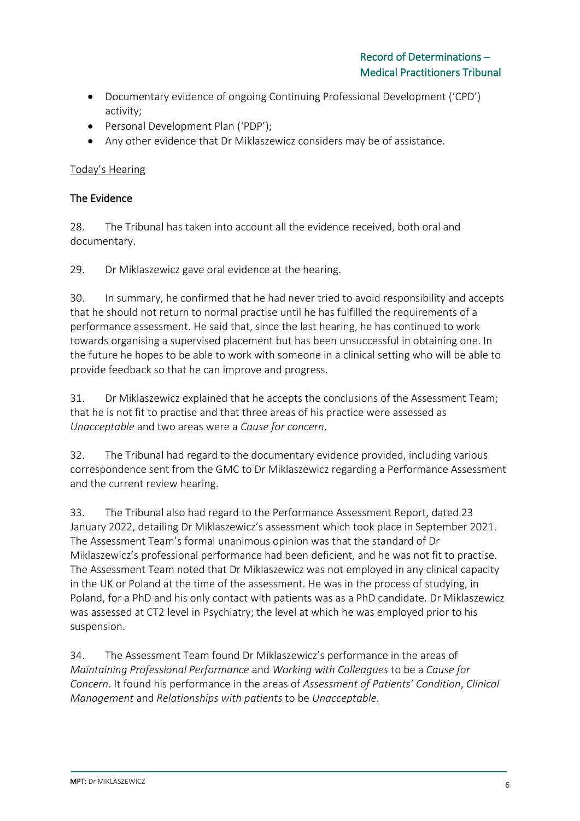- Documentary evidence of ongoing Continuing Professional Development ('CPD') activity;
- Personal Development Plan ('PDP');
- Any other evidence that Dr Miklaszewicz considers may be of assistance.

## Today's Hearing

## The Evidence

28. The Tribunal has taken into account all the evidence received, both oral and documentary.

29. Dr Miklaszewicz gave oral evidence at the hearing.

30. In summary, he confirmed that he had never tried to avoid responsibility and accepts that he should not return to normal practise until he has fulfilled the requirements of a performance assessment. He said that, since the last hearing, he has continued to work towards organising a supervised placement but has been unsuccessful in obtaining one. In the future he hopes to be able to work with someone in a clinical setting who will be able to provide feedback so that he can improve and progress.

31. Dr Miklaszewicz explained that he accepts the conclusions of the Assessment Team; that he is not fit to practise and that three areas of his practice were assessed as *Unacceptable* and two areas were a *Cause for concern*.

32. The Tribunal had regard to the documentary evidence provided, including various correspondence sent from the GMC to Dr Miklaszewicz regarding a Performance Assessment and the current review hearing.

33. The Tribunal also had regard to the Performance Assessment Report, dated 23 January 2022, detailing Dr Miklaszewicz's assessment which took place in September 2021. The Assessment Team's formal unanimous opinion was that the standard of Dr Miklaszewicz's professional performance had been deficient, and he was not fit to practise. The Assessment Team noted that Dr Miklaszewicz was not employed in any clinical capacity in the UK or Poland at the time of the assessment. He was in the process of studying, in Poland, for a PhD and his only contact with patients was as a PhD candidate. Dr Miklaszewicz was assessed at CT2 level in Psychiatry; the level at which he was employed prior to his suspension.

34. The Assessment Team found Dr Miklaszewicz's performance in the areas of *Maintaining Professional Performance* and *Working with Colleagues* to be a *Cause for Concern*. It found his performance in the areas of *Assessment of Patients' Condition*, *Clinical Management* and *Relationships with patients* to be *Unacceptable*.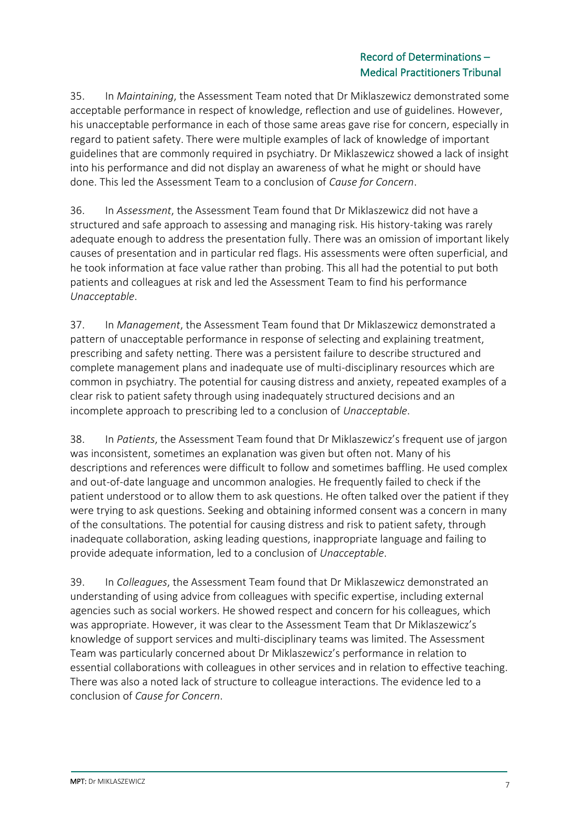## Record of Determinations – Medical Practitioners Tribunal

35. In *Maintaining*, the Assessment Team noted that Dr Miklaszewicz demonstrated some acceptable performance in respect of knowledge, reflection and use of guidelines. However, his unacceptable performance in each of those same areas gave rise for concern, especially in regard to patient safety. There were multiple examples of lack of knowledge of important guidelines that are commonly required in psychiatry. Dr Miklaszewicz showed a lack of insight into his performance and did not display an awareness of what he might or should have done. This led the Assessment Team to a conclusion of *Cause for Concern*.

36. In *Assessment*, the Assessment Team found that Dr Miklaszewicz did not have a structured and safe approach to assessing and managing risk. His history-taking was rarely adequate enough to address the presentation fully. There was an omission of important likely causes of presentation and in particular red flags. His assessments were often superficial, and he took information at face value rather than probing. This all had the potential to put both patients and colleagues at risk and led the Assessment Team to find his performance *Unacceptable*.

37. In *Management*, the Assessment Team found that Dr Miklaszewicz demonstrated a pattern of unacceptable performance in response of selecting and explaining treatment, prescribing and safety netting. There was a persistent failure to describe structured and complete management plans and inadequate use of multi-disciplinary resources which are common in psychiatry. The potential for causing distress and anxiety, repeated examples of a clear risk to patient safety through using inadequately structured decisions and an incomplete approach to prescribing led to a conclusion of *Unacceptable*.

38. In *Patients*, the Assessment Team found that Dr Miklaszewicz's frequent use of jargon was inconsistent, sometimes an explanation was given but often not. Many of his descriptions and references were difficult to follow and sometimes baffling. He used complex and out-of-date language and uncommon analogies. He frequently failed to check if the patient understood or to allow them to ask questions. He often talked over the patient if they were trying to ask questions. Seeking and obtaining informed consent was a concern in many of the consultations. The potential for causing distress and risk to patient safety, through inadequate collaboration, asking leading questions, inappropriate language and failing to provide adequate information, led to a conclusion of *Unacceptable*.

39. In *Colleagues*, the Assessment Team found that Dr Miklaszewicz demonstrated an understanding of using advice from colleagues with specific expertise, including external agencies such as social workers. He showed respect and concern for his colleagues, which was appropriate. However, it was clear to the Assessment Team that Dr Miklaszewicz's knowledge of support services and multi-disciplinary teams was limited. The Assessment Team was particularly concerned about Dr Miklaszewicz's performance in relation to essential collaborations with colleagues in other services and in relation to effective teaching. There was also a noted lack of structure to colleague interactions. The evidence led to a conclusion of *Cause for Concern*.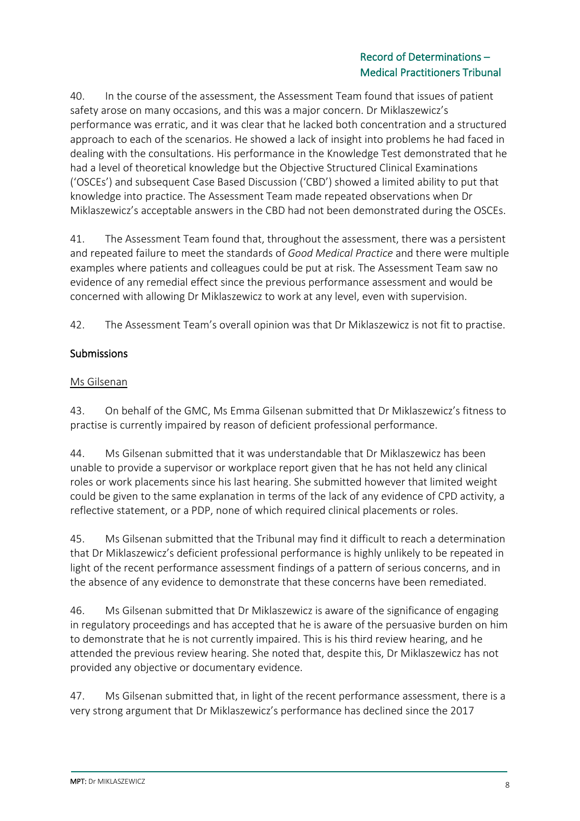40. In the course of the assessment, the Assessment Team found that issues of patient safety arose on many occasions, and this was a major concern. Dr Miklaszewicz's performance was erratic, and it was clear that he lacked both concentration and a structured approach to each of the scenarios. He showed a lack of insight into problems he had faced in dealing with the consultations. His performance in the Knowledge Test demonstrated that he had a level of theoretical knowledge but the Objective Structured Clinical Examinations ('OSCEs') and subsequent Case Based Discussion ('CBD') showed a limited ability to put that knowledge into practice. The Assessment Team made repeated observations when Dr Miklaszewicz's acceptable answers in the CBD had not been demonstrated during the OSCEs.

41. The Assessment Team found that, throughout the assessment, there was a persistent and repeated failure to meet the standards of *Good Medical Practice* and there were multiple examples where patients and colleagues could be put at risk. The Assessment Team saw no evidence of any remedial effect since the previous performance assessment and would be concerned with allowing Dr Miklaszewicz to work at any level, even with supervision.

42. The Assessment Team's overall opinion was that Dr Miklaszewicz is not fit to practise.

# **Submissions**

## Ms Gilsenan

43. On behalf of the GMC, Ms Emma Gilsenan submitted that Dr Miklaszewicz's fitness to practise is currently impaired by reason of deficient professional performance.

44. Ms Gilsenan submitted that it was understandable that Dr Miklaszewicz has been unable to provide a supervisor or workplace report given that he has not held any clinical roles or work placements since his last hearing. She submitted however that limited weight could be given to the same explanation in terms of the lack of any evidence of CPD activity, a reflective statement, or a PDP, none of which required clinical placements or roles.

45. Ms Gilsenan submitted that the Tribunal may find it difficult to reach a determination that Dr Miklaszewicz's deficient professional performance is highly unlikely to be repeated in light of the recent performance assessment findings of a pattern of serious concerns, and in the absence of any evidence to demonstrate that these concerns have been remediated.

46. Ms Gilsenan submitted that Dr Miklaszewicz is aware of the significance of engaging in regulatory proceedings and has accepted that he is aware of the persuasive burden on him to demonstrate that he is not currently impaired. This is his third review hearing, and he attended the previous review hearing. She noted that, despite this, Dr Miklaszewicz has not provided any objective or documentary evidence.

47. Ms Gilsenan submitted that, in light of the recent performance assessment, there is a very strong argument that Dr Miklaszewicz's performance has declined since the 2017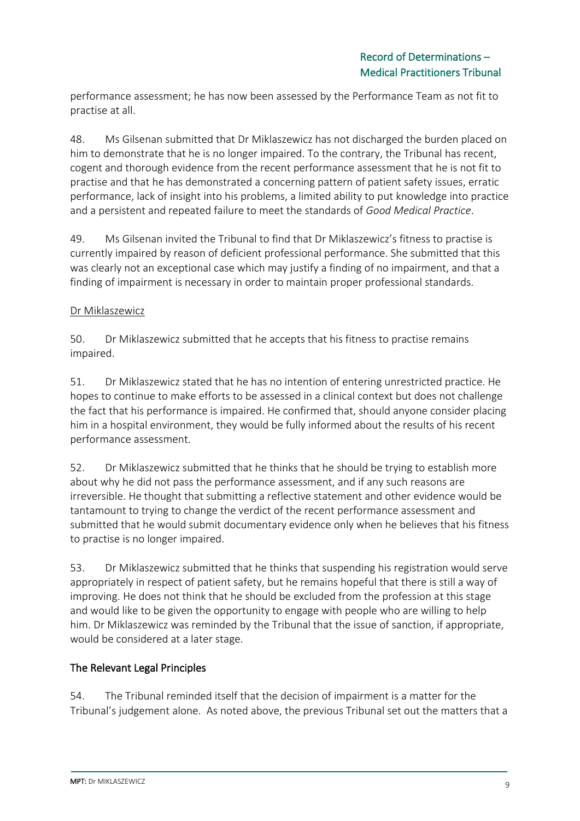performance assessment; he has now been assessed by the Performance Team as not fit to practise at all.

48. Ms Gilsenan submitted that Dr Miklaszewicz has not discharged the burden placed on him to demonstrate that he is no longer impaired. To the contrary, the Tribunal has recent, cogent and thorough evidence from the recent performance assessment that he is not fit to practise and that he has demonstrated a concerning pattern of patient safety issues, erratic performance, lack of insight into his problems, a limited ability to put knowledge into practice and a persistent and repeated failure to meet the standards of *Good Medical Practice*.

49. Ms Gilsenan invited the Tribunal to find that Dr Miklaszewicz's fitness to practise is currently impaired by reason of deficient professional performance. She submitted that this was clearly not an exceptional case which may justify a finding of no impairment, and that a finding of impairment is necessary in order to maintain proper professional standards.

#### Dr Miklaszewicz

50. Dr Miklaszewicz submitted that he accepts that his fitness to practise remains impaired.

51. Dr Miklaszewicz stated that he has no intention of entering unrestricted practice. He hopes to continue to make efforts to be assessed in a clinical context but does not challenge the fact that his performance is impaired. He confirmed that, should anyone consider placing him in a hospital environment, they would be fully informed about the results of his recent performance assessment.

52. Dr Miklaszewicz submitted that he thinks that he should be trying to establish more about why he did not pass the performance assessment, and if any such reasons are irreversible. He thought that submitting a reflective statement and other evidence would be tantamount to trying to change the verdict of the recent performance assessment and submitted that he would submit documentary evidence only when he believes that his fitness to practise is no longer impaired.

53. Dr Miklaszewicz submitted that he thinks that suspending his registration would serve appropriately in respect of patient safety, but he remains hopeful that there is still a way of improving. He does not think that he should be excluded from the profession at this stage and would like to be given the opportunity to engage with people who are willing to help him. Dr Miklaszewicz was reminded by the Tribunal that the issue of sanction, if appropriate, would be considered at a later stage.

# The Relevant Legal Principles

54. The Tribunal reminded itself that the decision of impairment is a matter for the Tribunal's judgement alone. As noted above, the previous Tribunal set out the matters that a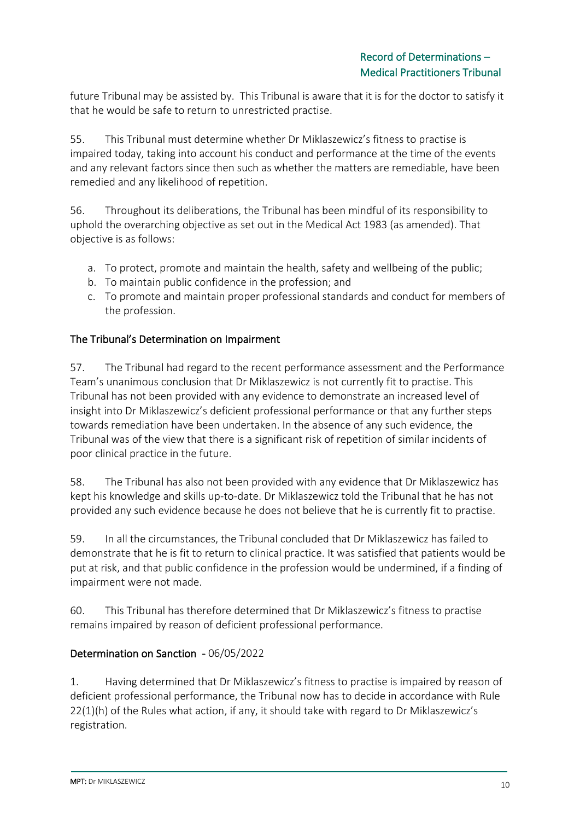future Tribunal may be assisted by. This Tribunal is aware that it is for the doctor to satisfy it that he would be safe to return to unrestricted practise.

55. This Tribunal must determine whether Dr Miklaszewicz's fitness to practise is impaired today, taking into account his conduct and performance at the time of the events and any relevant factors since then such as whether the matters are remediable, have been remedied and any likelihood of repetition.

56. Throughout its deliberations, the Tribunal has been mindful of its responsibility to uphold the overarching objective as set out in the Medical Act 1983 (as amended). That objective is as follows:

- a. To protect, promote and maintain the health, safety and wellbeing of the public;
- b. To maintain public confidence in the profession; and
- c. To promote and maintain proper professional standards and conduct for members of the profession.

## The Tribunal's Determination on Impairment

57. The Tribunal had regard to the recent performance assessment and the Performance Team's unanimous conclusion that Dr Miklaszewicz is not currently fit to practise. This Tribunal has not been provided with any evidence to demonstrate an increased level of insight into Dr Miklaszewicz's deficient professional performance or that any further steps towards remediation have been undertaken. In the absence of any such evidence, the Tribunal was of the view that there is a significant risk of repetition of similar incidents of poor clinical practice in the future.

58. The Tribunal has also not been provided with any evidence that Dr Miklaszewicz has kept his knowledge and skills up-to-date. Dr Miklaszewicz told the Tribunal that he has not provided any such evidence because he does not believe that he is currently fit to practise.

59. In all the circumstances, the Tribunal concluded that Dr Miklaszewicz has failed to demonstrate that he is fit to return to clinical practice. It was satisfied that patients would be put at risk, and that public confidence in the profession would be undermined, if a finding of impairment were not made.

60. This Tribunal has therefore determined that Dr Miklaszewicz's fitness to practise remains impaired by reason of deficient professional performance.

#### Determination on Sanction - 06/05/2022

1. Having determined that Dr Miklaszewicz's fitness to practise is impaired by reason of deficient professional performance, the Tribunal now has to decide in accordance with Rule 22(1)(h) of the Rules what action, if any, it should take with regard to Dr Miklaszewicz's registration.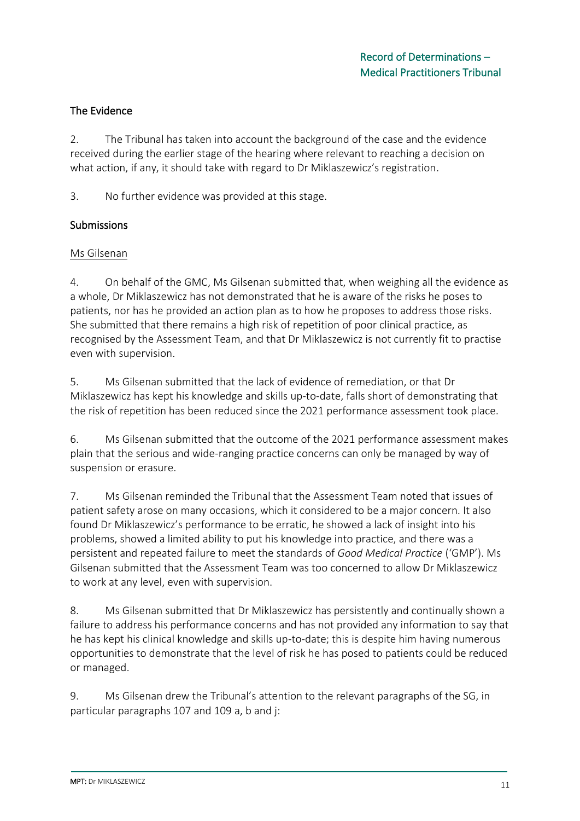## The Evidence

2. The Tribunal has taken into account the background of the case and the evidence received during the earlier stage of the hearing where relevant to reaching a decision on what action, if any, it should take with regard to Dr Miklaszewicz's registration.

3. No further evidence was provided at this stage.

#### Submissions

#### Ms Gilsenan

4. On behalf of the GMC, Ms Gilsenan submitted that, when weighing all the evidence as a whole, Dr Miklaszewicz has not demonstrated that he is aware of the risks he poses to patients, nor has he provided an action plan as to how he proposes to address those risks. She submitted that there remains a high risk of repetition of poor clinical practice, as recognised by the Assessment Team, and that Dr Miklaszewicz is not currently fit to practise even with supervision.

5. Ms Gilsenan submitted that the lack of evidence of remediation, or that Dr Miklaszewicz has kept his knowledge and skills up-to-date, falls short of demonstrating that the risk of repetition has been reduced since the 2021 performance assessment took place.

6. Ms Gilsenan submitted that the outcome of the 2021 performance assessment makes plain that the serious and wide-ranging practice concerns can only be managed by way of suspension or erasure.

7. Ms Gilsenan reminded the Tribunal that the Assessment Team noted that issues of patient safety arose on many occasions, which it considered to be a major concern. It also found Dr Miklaszewicz's performance to be erratic, he showed a lack of insight into his problems, showed a limited ability to put his knowledge into practice, and there was a persistent and repeated failure to meet the standards of *Good Medical Practice* ('GMP'). Ms Gilsenan submitted that the Assessment Team was too concerned to allow Dr Miklaszewicz to work at any level, even with supervision.

8. Ms Gilsenan submitted that Dr Miklaszewicz has persistently and continually shown a failure to address his performance concerns and has not provided any information to say that he has kept his clinical knowledge and skills up-to-date; this is despite him having numerous opportunities to demonstrate that the level of risk he has posed to patients could be reduced or managed.

9. Ms Gilsenan drew the Tribunal's attention to the relevant paragraphs of the SG, in particular paragraphs 107 and 109 a, b and j: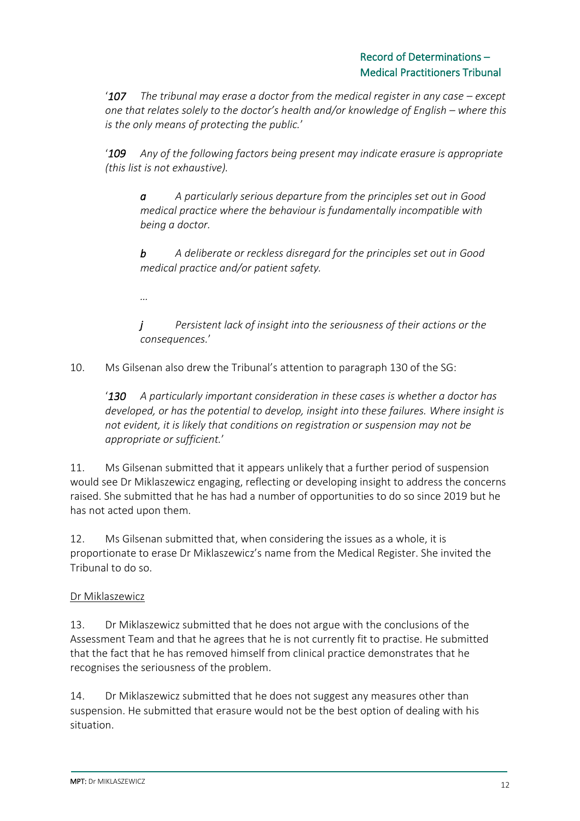'**107** The tribunal may erase a doctor from the medical register in any case – except *one that relates solely to the doctor's health and/or knowledge of English – where this is the only means of protecting the public.*'

'*109 Any of the following factors being present may indicate erasure is appropriate (this list is not exhaustive).* 

*a A particularly serious departure from the principles set out in Good medical practice where the behaviour is fundamentally incompatible with being a doctor.* 

*b A deliberate or reckless disregard for the principles set out in Good medical practice and/or patient safety.*

*…*

*j Persistent lack of insight into the seriousness of their actions or the consequences.*'

10. Ms Gilsenan also drew the Tribunal's attention to paragraph 130 of the SG:

'*130 A particularly important consideration in these cases is whether a doctor has developed, or has the potential to develop, insight into these failures. Where insight is not evident, it is likely that conditions on registration or suspension may not be appropriate or sufficient.*'

11. Ms Gilsenan submitted that it appears unlikely that a further period of suspension would see Dr Miklaszewicz engaging, reflecting or developing insight to address the concerns raised. She submitted that he has had a number of opportunities to do so since 2019 but he has not acted upon them.

12. Ms Gilsenan submitted that, when considering the issues as a whole, it is proportionate to erase Dr Miklaszewicz's name from the Medical Register. She invited the Tribunal to do so.

# Dr Miklaszewicz

13. Dr Miklaszewicz submitted that he does not argue with the conclusions of the Assessment Team and that he agrees that he is not currently fit to practise. He submitted that the fact that he has removed himself from clinical practice demonstrates that he recognises the seriousness of the problem.

14. Dr Miklaszewicz submitted that he does not suggest any measures other than suspension. He submitted that erasure would not be the best option of dealing with his situation.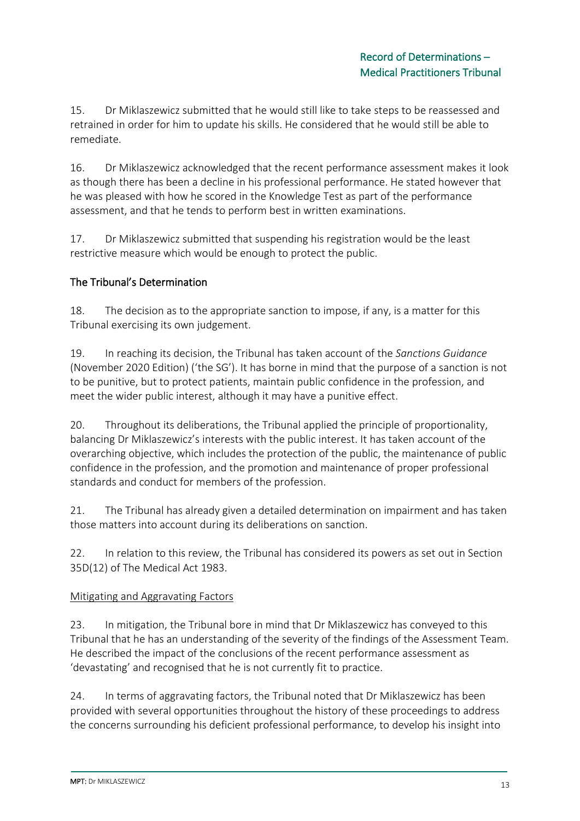15. Dr Miklaszewicz submitted that he would still like to take steps to be reassessed and retrained in order for him to update his skills. He considered that he would still be able to remediate.

16. Dr Miklaszewicz acknowledged that the recent performance assessment makes it look as though there has been a decline in his professional performance. He stated however that he was pleased with how he scored in the Knowledge Test as part of the performance assessment, and that he tends to perform best in written examinations.

17. Dr Miklaszewicz submitted that suspending his registration would be the least restrictive measure which would be enough to protect the public.

# The Tribunal's Determination

18. The decision as to the appropriate sanction to impose, if any, is a matter for this Tribunal exercising its own judgement.

19. In reaching its decision, the Tribunal has taken account of the *Sanctions Guidance*  (November 2020 Edition) ('the SG'). It has borne in mind that the purpose of a sanction is not to be punitive, but to protect patients, maintain public confidence in the profession, and meet the wider public interest, although it may have a punitive effect.

20. Throughout its deliberations, the Tribunal applied the principle of proportionality, balancing Dr Miklaszewicz's interests with the public interest. It has taken account of the overarching objective, which includes the protection of the public, the maintenance of public confidence in the profession, and the promotion and maintenance of proper professional standards and conduct for members of the profession.

21. The Tribunal has already given a detailed determination on impairment and has taken those matters into account during its deliberations on sanction.

22. In relation to this review, the Tribunal has considered its powers as set out in Section 35D(12) of The Medical Act 1983.

# Mitigating and Aggravating Factors

23. In mitigation, the Tribunal bore in mind that Dr Miklaszewicz has conveyed to this Tribunal that he has an understanding of the severity of the findings of the Assessment Team. He described the impact of the conclusions of the recent performance assessment as 'devastating' and recognised that he is not currently fit to practice.

24. In terms of aggravating factors, the Tribunal noted that Dr Miklaszewicz has been provided with several opportunities throughout the history of these proceedings to address the concerns surrounding his deficient professional performance, to develop his insight into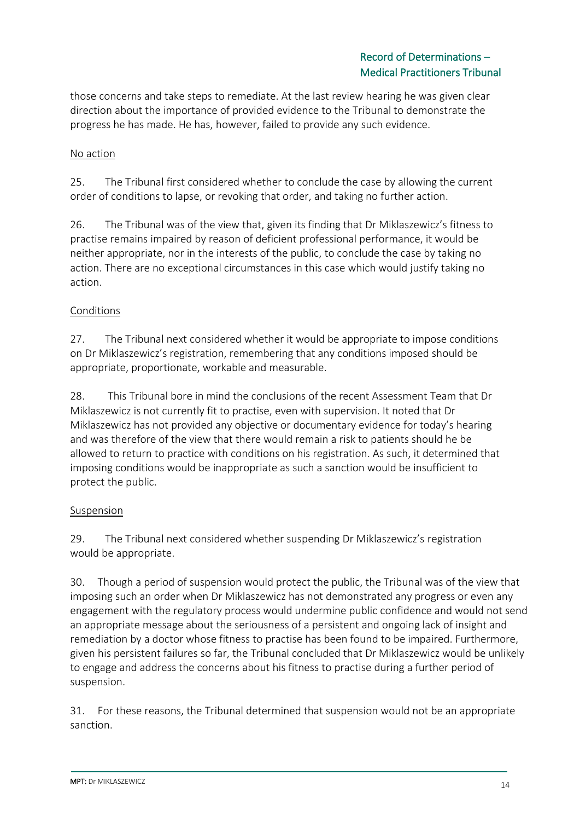those concerns and take steps to remediate. At the last review hearing he was given clear direction about the importance of provided evidence to the Tribunal to demonstrate the progress he has made. He has, however, failed to provide any such evidence.

## No action

25. The Tribunal first considered whether to conclude the case by allowing the current order of conditions to lapse, or revoking that order, and taking no further action.

26. The Tribunal was of the view that, given its finding that Dr Miklaszewicz's fitness to practise remains impaired by reason of deficient professional performance, it would be neither appropriate, nor in the interests of the public, to conclude the case by taking no action. There are no exceptional circumstances in this case which would justify taking no action.

#### Conditions

27. The Tribunal next considered whether it would be appropriate to impose conditions on Dr Miklaszewicz's registration, remembering that any conditions imposed should be appropriate, proportionate, workable and measurable.

28. This Tribunal bore in mind the conclusions of the recent Assessment Team that Dr Miklaszewicz is not currently fit to practise, even with supervision. It noted that Dr Miklaszewicz has not provided any objective or documentary evidence for today's hearing and was therefore of the view that there would remain a risk to patients should he be allowed to return to practice with conditions on his registration. As such, it determined that imposing conditions would be inappropriate as such a sanction would be insufficient to protect the public.

#### Suspension

29. The Tribunal next considered whether suspending Dr Miklaszewicz's registration would be appropriate.

30. Though a period of suspension would protect the public, the Tribunal was of the view that imposing such an order when Dr Miklaszewicz has not demonstrated any progress or even any engagement with the regulatory process would undermine public confidence and would not send an appropriate message about the seriousness of a persistent and ongoing lack of insight and remediation by a doctor whose fitness to practise has been found to be impaired. Furthermore, given his persistent failures so far, the Tribunal concluded that Dr Miklaszewicz would be unlikely to engage and address the concerns about his fitness to practise during a further period of suspension.

31. For these reasons, the Tribunal determined that suspension would not be an appropriate sanction.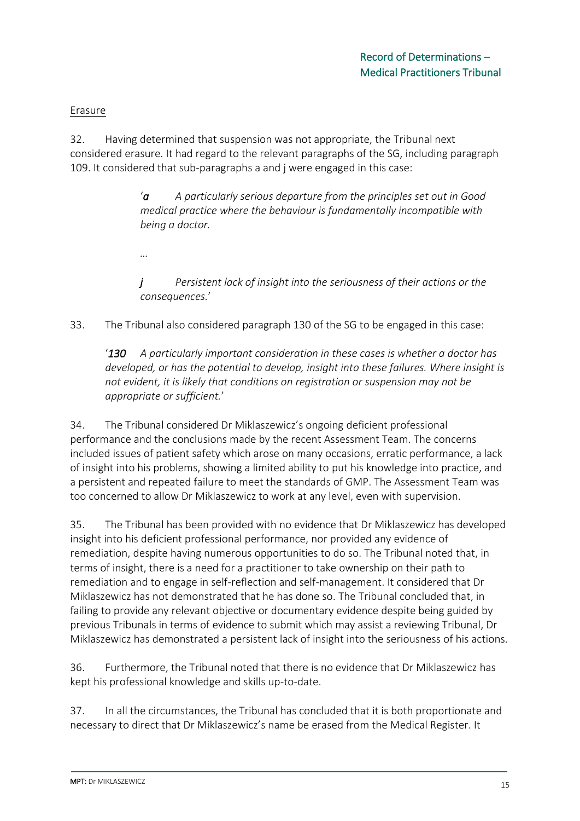#### Erasure

32. Having determined that suspension was not appropriate, the Tribunal next considered erasure. It had regard to the relevant paragraphs of the SG, including paragraph 109. It considered that sub-paragraphs a and j were engaged in this case:

> '*a A particularly serious departure from the principles set out in Good medical practice where the behaviour is fundamentally incompatible with being a doctor.*

*…*

*j Persistent lack of insight into the seriousness of their actions or the consequences.*'

33. The Tribunal also considered paragraph 130 of the SG to be engaged in this case:

'*130 A particularly important consideration in these cases is whether a doctor has developed, or has the potential to develop, insight into these failures. Where insight is not evident, it is likely that conditions on registration or suspension may not be appropriate or sufficient.*'

34. The Tribunal considered Dr Miklaszewicz's ongoing deficient professional performance and the conclusions made by the recent Assessment Team. The concerns included issues of patient safety which arose on many occasions, erratic performance, a lack of insight into his problems, showing a limited ability to put his knowledge into practice, and a persistent and repeated failure to meet the standards of GMP. The Assessment Team was too concerned to allow Dr Miklaszewicz to work at any level, even with supervision.

35. The Tribunal has been provided with no evidence that Dr Miklaszewicz has developed insight into his deficient professional performance, nor provided any evidence of remediation, despite having numerous opportunities to do so. The Tribunal noted that, in terms of insight, there is a need for a practitioner to take ownership on their path to remediation and to engage in self-reflection and self-management. It considered that Dr Miklaszewicz has not demonstrated that he has done so. The Tribunal concluded that, in failing to provide any relevant objective or documentary evidence despite being guided by previous Tribunals in terms of evidence to submit which may assist a reviewing Tribunal, Dr Miklaszewicz has demonstrated a persistent lack of insight into the seriousness of his actions.

36. Furthermore, the Tribunal noted that there is no evidence that Dr Miklaszewicz has kept his professional knowledge and skills up-to-date.

37. In all the circumstances, the Tribunal has concluded that it is both proportionate and necessary to direct that Dr Miklaszewicz's name be erased from the Medical Register. It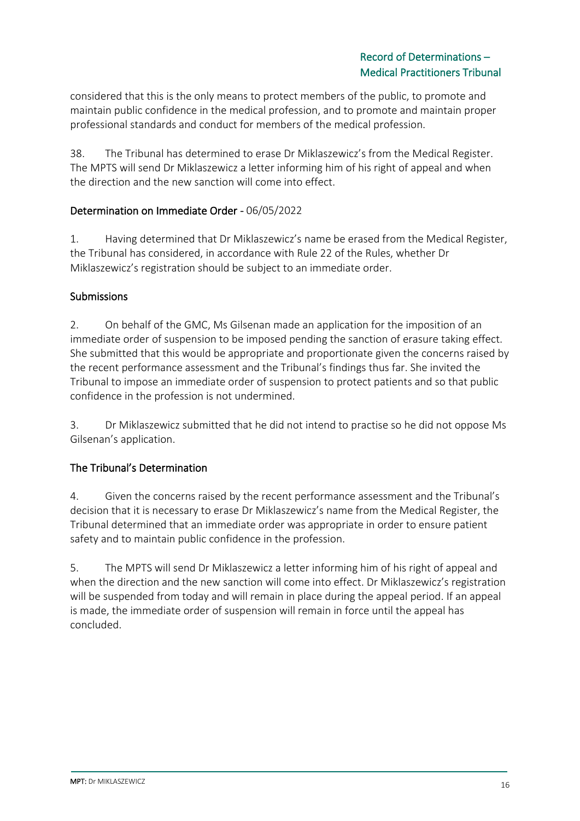considered that this is the only means to protect members of the public, to promote and maintain public confidence in the medical profession, and to promote and maintain proper professional standards and conduct for members of the medical profession.

38. The Tribunal has determined to erase Dr Miklaszewicz's from the Medical Register. The MPTS will send Dr Miklaszewicz a letter informing him of his right of appeal and when the direction and the new sanction will come into effect.

## Determination on Immediate Order - 06/05/2022

1. Having determined that Dr Miklaszewicz's name be erased from the Medical Register, the Tribunal has considered, in accordance with Rule 22 of the Rules, whether Dr Miklaszewicz's registration should be subject to an immediate order.

## Submissions

2. On behalf of the GMC, Ms Gilsenan made an application for the imposition of an immediate order of suspension to be imposed pending the sanction of erasure taking effect. She submitted that this would be appropriate and proportionate given the concerns raised by the recent performance assessment and the Tribunal's findings thus far. She invited the Tribunal to impose an immediate order of suspension to protect patients and so that public confidence in the profession is not undermined.

3. Dr Miklaszewicz submitted that he did not intend to practise so he did not oppose Ms Gilsenan's application.

# The Tribunal's Determination

4. Given the concerns raised by the recent performance assessment and the Tribunal's decision that it is necessary to erase Dr Miklaszewicz's name from the Medical Register, the Tribunal determined that an immediate order was appropriate in order to ensure patient safety and to maintain public confidence in the profession.

5. The MPTS will send Dr Miklaszewicz a letter informing him of his right of appeal and when the direction and the new sanction will come into effect. Dr Miklaszewicz's registration will be suspended from today and will remain in place during the appeal period. If an appeal is made, the immediate order of suspension will remain in force until the appeal has concluded.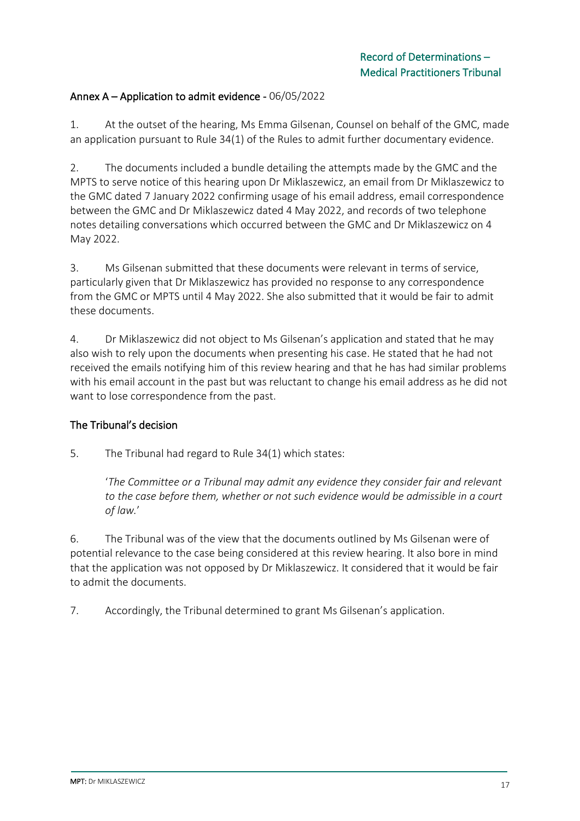### Annex A – Application to admit evidence - 06/05/2022

1. At the outset of the hearing, Ms Emma Gilsenan, Counsel on behalf of the GMC, made an application pursuant to Rule 34(1) of the Rules to admit further documentary evidence.

2. The documents included a bundle detailing the attempts made by the GMC and the MPTS to serve notice of this hearing upon Dr Miklaszewicz, an email from Dr Miklaszewicz to the GMC dated 7 January 2022 confirming usage of his email address, email correspondence between the GMC and Dr Miklaszewicz dated 4 May 2022, and records of two telephone notes detailing conversations which occurred between the GMC and Dr Miklaszewicz on 4 May 2022.

3. Ms Gilsenan submitted that these documents were relevant in terms of service, particularly given that Dr Miklaszewicz has provided no response to any correspondence from the GMC or MPTS until 4 May 2022. She also submitted that it would be fair to admit these documents.

4. Dr Miklaszewicz did not object to Ms Gilsenan's application and stated that he may also wish to rely upon the documents when presenting his case. He stated that he had not received the emails notifying him of this review hearing and that he has had similar problems with his email account in the past but was reluctant to change his email address as he did not want to lose correspondence from the past.

# The Tribunal's decision

5. The Tribunal had regard to Rule 34(1) which states:

'*The Committee or a Tribunal may admit any evidence they consider fair and relevant to the case before them, whether or not such evidence would be admissible in a court of law.*'

6. The Tribunal was of the view that the documents outlined by Ms Gilsenan were of potential relevance to the case being considered at this review hearing. It also bore in mind that the application was not opposed by Dr Miklaszewicz. It considered that it would be fair to admit the documents.

7. Accordingly, the Tribunal determined to grant Ms Gilsenan's application.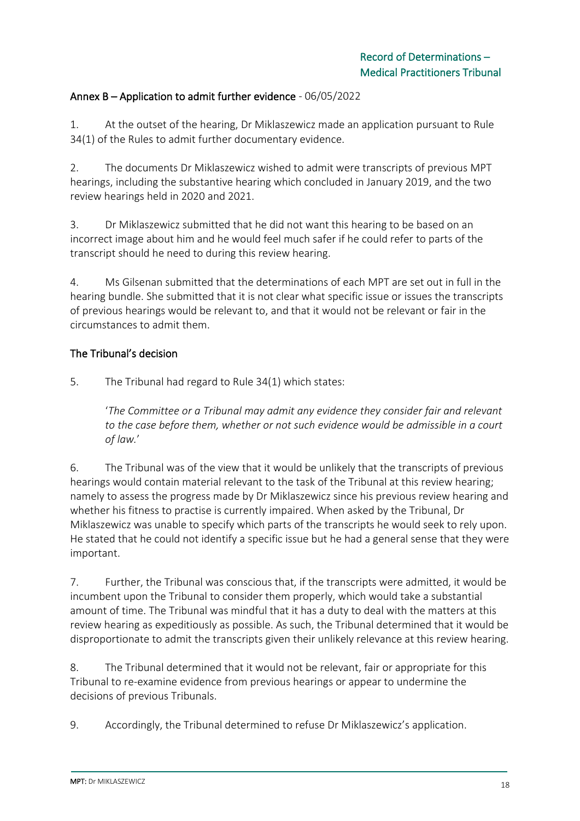## Annex B – Application to admit further evidence - 06/05/2022

1. At the outset of the hearing, Dr Miklaszewicz made an application pursuant to Rule 34(1) of the Rules to admit further documentary evidence.

2. The documents Dr Miklaszewicz wished to admit were transcripts of previous MPT hearings, including the substantive hearing which concluded in January 2019, and the two review hearings held in 2020 and 2021.

3. Dr Miklaszewicz submitted that he did not want this hearing to be based on an incorrect image about him and he would feel much safer if he could refer to parts of the transcript should he need to during this review hearing.

4. Ms Gilsenan submitted that the determinations of each MPT are set out in full in the hearing bundle. She submitted that it is not clear what specific issue or issues the transcripts of previous hearings would be relevant to, and that it would not be relevant or fair in the circumstances to admit them.

#### The Tribunal's decision

5. The Tribunal had regard to Rule 34(1) which states:

'*The Committee or a Tribunal may admit any evidence they consider fair and relevant to the case before them, whether or not such evidence would be admissible in a court of law.*'

6. The Tribunal was of the view that it would be unlikely that the transcripts of previous hearings would contain material relevant to the task of the Tribunal at this review hearing; namely to assess the progress made by Dr Miklaszewicz since his previous review hearing and whether his fitness to practise is currently impaired. When asked by the Tribunal, Dr Miklaszewicz was unable to specify which parts of the transcripts he would seek to rely upon. He stated that he could not identify a specific issue but he had a general sense that they were important.

7. Further, the Tribunal was conscious that, if the transcripts were admitted, it would be incumbent upon the Tribunal to consider them properly, which would take a substantial amount of time. The Tribunal was mindful that it has a duty to deal with the matters at this review hearing as expeditiously as possible. As such, the Tribunal determined that it would be disproportionate to admit the transcripts given their unlikely relevance at this review hearing.

8. The Tribunal determined that it would not be relevant, fair or appropriate for this Tribunal to re-examine evidence from previous hearings or appear to undermine the decisions of previous Tribunals.

9. Accordingly, the Tribunal determined to refuse Dr Miklaszewicz's application.